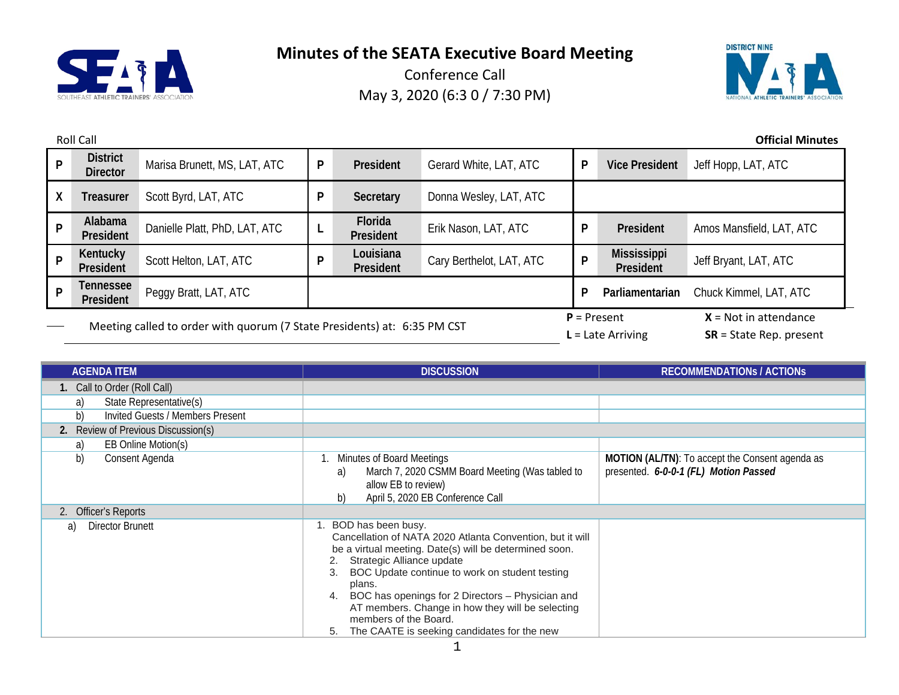



|   | <b>Official Minutes</b><br><b>Roll Call</b>                                    |                               |                        |                        |                          |                                                      |                                 |                          |
|---|--------------------------------------------------------------------------------|-------------------------------|------------------------|------------------------|--------------------------|------------------------------------------------------|---------------------------------|--------------------------|
| P | <b>District</b><br><b>Director</b>                                             | Marisa Brunett, MS, LAT, ATC  | P                      | President              | Gerard White, LAT, ATC   | P                                                    | <b>Vice President</b>           | Jeff Hopp, LAT, ATC      |
| X | <b>Treasurer</b>                                                               | Scott Byrd, LAT, ATC          | P                      | Secretary              | Donna Wesley, LAT, ATC   |                                                      |                                 |                          |
| P | Alabama<br>President                                                           | Danielle Platt, PhD, LAT, ATC |                        | Florida<br>President   | Erik Nason, LAT, ATC     | P                                                    | President                       | Amos Mansfield, LAT, ATC |
| P | <b>Kentucky</b><br>President                                                   | Scott Helton, LAT, ATC        | P                      | Louisiana<br>President | Cary Berthelot, LAT, ATC | P                                                    | <b>Mississippi</b><br>President | Jeff Bryant, LAT, ATC    |
| D | <b>Tennessee</b><br>Peggy Bratt, LAT, ATC<br>P<br>Parliamentarian<br>President |                               | Chuck Kimmel, LAT, ATC |                        |                          |                                                      |                                 |                          |
|   | Meeting called to order with quorum (7 State Presidents) at: 6:35 PM CST       |                               |                        | $P =$ Present          | $L =$ Late Arriving      | $X = Not in attendance$<br>$SR = State Rep. present$ |                                 |                          |

| <b>AGENDA ITEM</b>                     | <b>DISCUSSION</b>                                                                                                                                                                                                                                                                                                                                                                                                                 | <b>RECOMMENDATIONS / ACTIONS</b>                                                                |
|----------------------------------------|-----------------------------------------------------------------------------------------------------------------------------------------------------------------------------------------------------------------------------------------------------------------------------------------------------------------------------------------------------------------------------------------------------------------------------------|-------------------------------------------------------------------------------------------------|
| 1. Call to Order (Roll Call)           |                                                                                                                                                                                                                                                                                                                                                                                                                                   |                                                                                                 |
| State Representative(s)<br>a)          |                                                                                                                                                                                                                                                                                                                                                                                                                                   |                                                                                                 |
| b)<br>Invited Guests / Members Present |                                                                                                                                                                                                                                                                                                                                                                                                                                   |                                                                                                 |
| 2. Review of Previous Discussion(s)    |                                                                                                                                                                                                                                                                                                                                                                                                                                   |                                                                                                 |
| EB Online Motion(s)<br>a)              |                                                                                                                                                                                                                                                                                                                                                                                                                                   |                                                                                                 |
| b)<br>Consent Agenda                   | Minutes of Board Meetings<br>March 7, 2020 CSMM Board Meeting (Was tabled to<br>a)<br>allow EB to review)<br>April 5, 2020 EB Conference Call<br>b).                                                                                                                                                                                                                                                                              | <b>MOTION (AL/TN):</b> To accept the Consent agenda as<br>presented. 6-0-0-1 (FL) Motion Passed |
| 2. Officer's Reports                   |                                                                                                                                                                                                                                                                                                                                                                                                                                   |                                                                                                 |
| Director Brunett<br>a)                 | 1. BOD has been busy.<br>Cancellation of NATA 2020 Atlanta Convention, but it will<br>be a virtual meeting. Date(s) will be determined soon.<br>Strategic Alliance update<br>BOC Update continue to work on student testing<br>plans.<br>BOC has openings for 2 Directors - Physician and<br>4.<br>AT members. Change in how they will be selecting<br>members of the Board.<br>The CAATE is seeking candidates for the new<br>5. |                                                                                                 |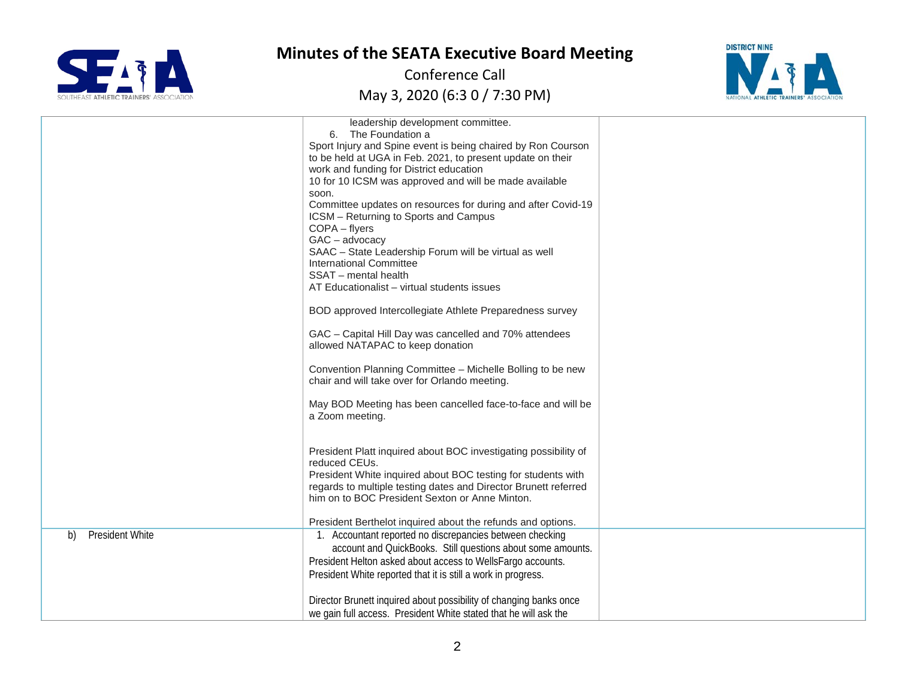



|                              | leadership development committee.<br>6. The Foundation a<br>Sport Injury and Spine event is being chaired by Ron Courson<br>to be held at UGA in Feb. 2021, to present update on their<br>work and funding for District education<br>10 for 10 ICSM was approved and will be made available<br>soon.<br>Committee updates on resources for during and after Covid-19<br>ICSM - Returning to Sports and Campus<br>COPA - flyers<br>$GAC - advocacy$<br>SAAC - State Leadership Forum will be virtual as well<br>International Committee<br>SSAT - mental health<br>AT Educationalist - virtual students issues<br>BOD approved Intercollegiate Athlete Preparedness survey<br>GAC - Capital Hill Day was cancelled and 70% attendees<br>allowed NATAPAC to keep donation<br>Convention Planning Committee - Michelle Bolling to be new<br>chair and will take over for Orlando meeting.<br>May BOD Meeting has been cancelled face-to-face and will be<br>a Zoom meeting. |  |
|------------------------------|--------------------------------------------------------------------------------------------------------------------------------------------------------------------------------------------------------------------------------------------------------------------------------------------------------------------------------------------------------------------------------------------------------------------------------------------------------------------------------------------------------------------------------------------------------------------------------------------------------------------------------------------------------------------------------------------------------------------------------------------------------------------------------------------------------------------------------------------------------------------------------------------------------------------------------------------------------------------------|--|
|                              | President Platt inquired about BOC investigating possibility of<br>reduced CEUs.<br>President White inquired about BOC testing for students with<br>regards to multiple testing dates and Director Brunett referred<br>him on to BOC President Sexton or Anne Minton.<br>President Berthelot inquired about the refunds and options.                                                                                                                                                                                                                                                                                                                                                                                                                                                                                                                                                                                                                                     |  |
| <b>President White</b><br>b) | 1. Accountant reported no discrepancies between checking<br>account and QuickBooks. Still questions about some amounts.<br>President Helton asked about access to WellsFargo accounts.<br>President White reported that it is still a work in progress.                                                                                                                                                                                                                                                                                                                                                                                                                                                                                                                                                                                                                                                                                                                  |  |
|                              | Director Brunett inquired about possibility of changing banks once<br>we gain full access. President White stated that he will ask the                                                                                                                                                                                                                                                                                                                                                                                                                                                                                                                                                                                                                                                                                                                                                                                                                                   |  |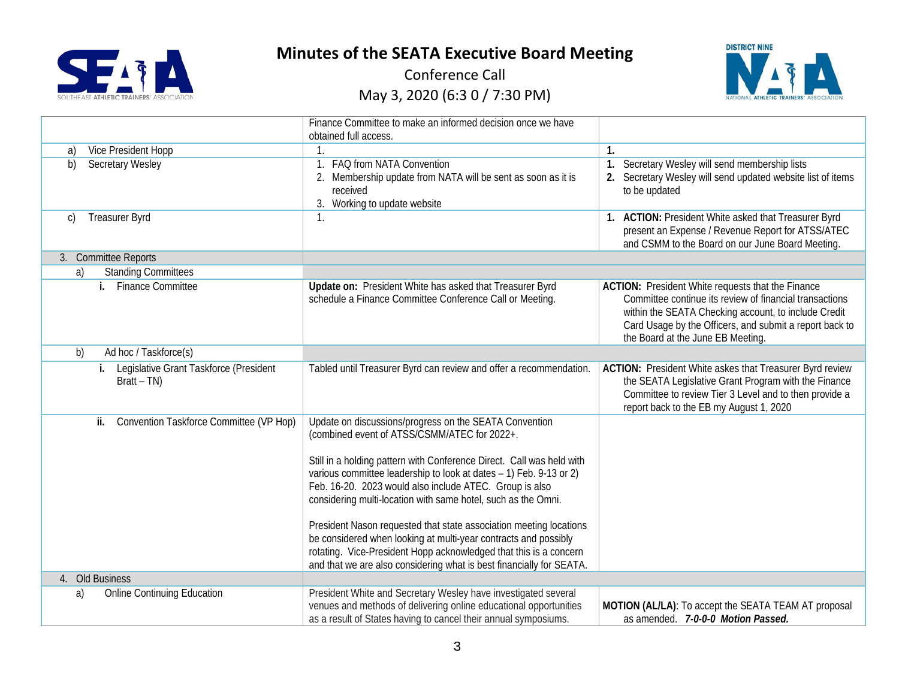



|                                                            | Finance Committee to make an informed decision once we have<br>obtained full access.                                                                                                                                                                                                                                                                                                                                                                                                                                                                                                                                                                                    |                                                                                                                                                                                                                                                                             |
|------------------------------------------------------------|-------------------------------------------------------------------------------------------------------------------------------------------------------------------------------------------------------------------------------------------------------------------------------------------------------------------------------------------------------------------------------------------------------------------------------------------------------------------------------------------------------------------------------------------------------------------------------------------------------------------------------------------------------------------------|-----------------------------------------------------------------------------------------------------------------------------------------------------------------------------------------------------------------------------------------------------------------------------|
| Vice President Hopp<br>a)                                  | $\mathbf{1}$                                                                                                                                                                                                                                                                                                                                                                                                                                                                                                                                                                                                                                                            | $\mathbf{1}$ .                                                                                                                                                                                                                                                              |
| <b>Secretary Wesley</b><br>b)                              | FAQ from NATA Convention<br>$\mathbf{1}$ .<br>2. Membership update from NATA will be sent as soon as it is<br>received<br>Working to update website<br>3.                                                                                                                                                                                                                                                                                                                                                                                                                                                                                                               | Secretary Wesley will send membership lists<br>1.<br>2. Secretary Wesley will send updated website list of items<br>to be updated                                                                                                                                           |
| Treasurer Byrd<br>C)                                       | $\mathbf{1}$ .                                                                                                                                                                                                                                                                                                                                                                                                                                                                                                                                                                                                                                                          | 1. ACTION: President White asked that Treasurer Byrd<br>present an Expense / Revenue Report for ATSS/ATEC<br>and CSMM to the Board on our June Board Meeting.                                                                                                               |
| 3. Committee Reports                                       |                                                                                                                                                                                                                                                                                                                                                                                                                                                                                                                                                                                                                                                                         |                                                                                                                                                                                                                                                                             |
| <b>Standing Committees</b><br>a)                           |                                                                                                                                                                                                                                                                                                                                                                                                                                                                                                                                                                                                                                                                         |                                                                                                                                                                                                                                                                             |
| i. Finance Committee                                       | Update on: President White has asked that Treasurer Byrd<br>schedule a Finance Committee Conference Call or Meeting.                                                                                                                                                                                                                                                                                                                                                                                                                                                                                                                                                    | <b>ACTION:</b> President White requests that the Finance<br>Committee continue its review of financial transactions<br>within the SEATA Checking account, to include Credit<br>Card Usage by the Officers, and submit a report back to<br>the Board at the June EB Meeting. |
| Ad hoc / Taskforce(s)<br>b)                                |                                                                                                                                                                                                                                                                                                                                                                                                                                                                                                                                                                                                                                                                         |                                                                                                                                                                                                                                                                             |
| i. Legislative Grant Taskforce (President<br>$Bratt - TN)$ | Tabled until Treasurer Byrd can review and offer a recommendation.                                                                                                                                                                                                                                                                                                                                                                                                                                                                                                                                                                                                      | ACTION: President White askes that Treasurer Byrd review<br>the SEATA Legislative Grant Program with the Finance<br>Committee to review Tier 3 Level and to then provide a<br>report back to the EB my August 1, 2020                                                       |
| Convention Taskforce Committee (VP Hop)<br>ii.             | Update on discussions/progress on the SEATA Convention<br>(combined event of ATSS/CSMM/ATEC for 2022+.<br>Still in a holding pattern with Conference Direct. Call was held with<br>various committee leadership to look at dates - 1) Feb. 9-13 or 2)<br>Feb. 16-20. 2023 would also include ATEC. Group is also<br>considering multi-location with same hotel, such as the Omni.<br>President Nason requested that state association meeting locations<br>be considered when looking at multi-year contracts and possibly<br>rotating. Vice-President Hopp acknowledged that this is a concern<br>and that we are also considering what is best financially for SEATA. |                                                                                                                                                                                                                                                                             |
| 4. Old Business                                            |                                                                                                                                                                                                                                                                                                                                                                                                                                                                                                                                                                                                                                                                         |                                                                                                                                                                                                                                                                             |
| <b>Online Continuing Education</b><br>a)                   | President White and Secretary Wesley have investigated several<br>venues and methods of delivering online educational opportunities<br>as a result of States having to cancel their annual symposiums.                                                                                                                                                                                                                                                                                                                                                                                                                                                                  | MOTION (AL/LA): To accept the SEATA TEAM AT proposal<br>as amended. 7-0-0-0 Motion Passed.                                                                                                                                                                                  |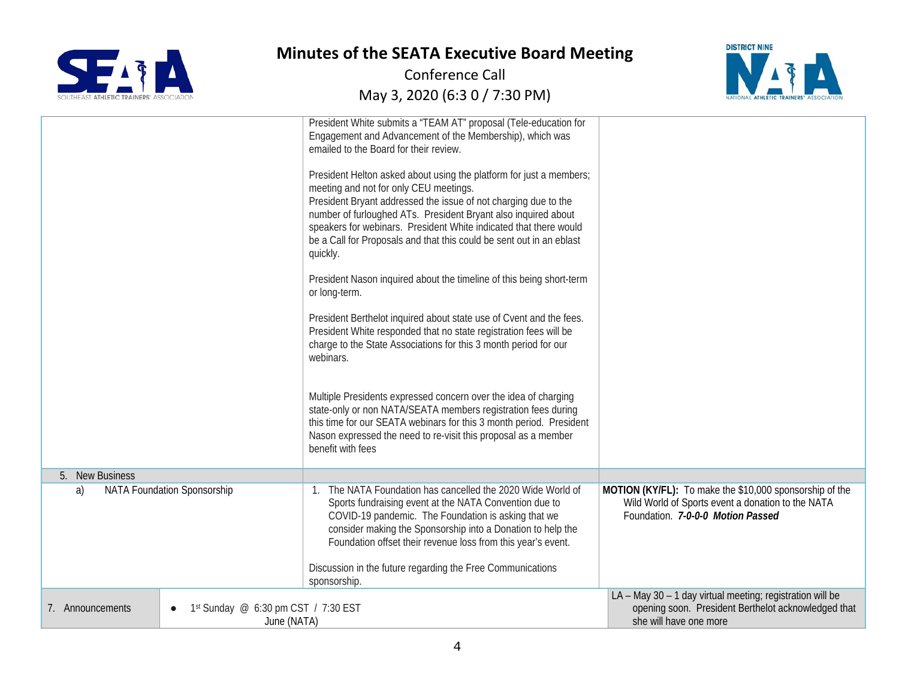



|                  |                                                    | President White submits a "TEAM AT" proposal (Tele-education for<br>Engagement and Advancement of the Membership), which was<br>emailed to the Board for their review.<br>President Helton asked about using the platform for just a members;<br>meeting and not for only CEU meetings.<br>President Bryant addressed the issue of not charging due to the<br>number of furloughed ATs. President Bryant also inquired about<br>speakers for webinars. President White indicated that there would<br>be a Call for Proposals and that this could be sent out in an eblast<br>quickly.<br>President Nason inquired about the timeline of this being short-term<br>or long-term.<br>President Berthelot inquired about state use of Cvent and the fees.<br>President White responded that no state registration fees will be<br>charge to the State Associations for this 3 month period for our<br>webinars.<br>Multiple Presidents expressed concern over the idea of charging<br>state-only or non NATA/SEATA members registration fees during<br>this time for our SEATA webinars for this 3 month period. President<br>Nason expressed the need to re-visit this proposal as a member<br>benefit with fees |                                                                                                                                                   |
|------------------|----------------------------------------------------|---------------------------------------------------------------------------------------------------------------------------------------------------------------------------------------------------------------------------------------------------------------------------------------------------------------------------------------------------------------------------------------------------------------------------------------------------------------------------------------------------------------------------------------------------------------------------------------------------------------------------------------------------------------------------------------------------------------------------------------------------------------------------------------------------------------------------------------------------------------------------------------------------------------------------------------------------------------------------------------------------------------------------------------------------------------------------------------------------------------------------------------------------------------------------------------------------------------|---------------------------------------------------------------------------------------------------------------------------------------------------|
| 5. New Business  |                                                    |                                                                                                                                                                                                                                                                                                                                                                                                                                                                                                                                                                                                                                                                                                                                                                                                                                                                                                                                                                                                                                                                                                                                                                                                               |                                                                                                                                                   |
| a)               | NATA Foundation Sponsorship                        | The NATA Foundation has cancelled the 2020 Wide World of<br>Sports fundraising event at the NATA Convention due to<br>COVID-19 pandemic. The Foundation is asking that we<br>consider making the Sponsorship into a Donation to help the<br>Foundation offset their revenue loss from this year's event.<br>Discussion in the future regarding the Free Communications<br>sponsorship.                                                                                                                                                                                                                                                                                                                                                                                                                                                                                                                                                                                                                                                                                                                                                                                                                        | MOTION (KY/FL): To make the \$10,000 sponsorship of the<br>Wild World of Sports event a donation to the NATA<br>Foundation. 7-0-0-0 Motion Passed |
| 7. Announcements | 1st Sunday @ 6:30 pm CST / 7:30 EST<br>June (NATA) |                                                                                                                                                                                                                                                                                                                                                                                                                                                                                                                                                                                                                                                                                                                                                                                                                                                                                                                                                                                                                                                                                                                                                                                                               | LA - May 30 - 1 day virtual meeting; registration will be<br>opening soon. President Berthelot acknowledged that<br>she will have one more        |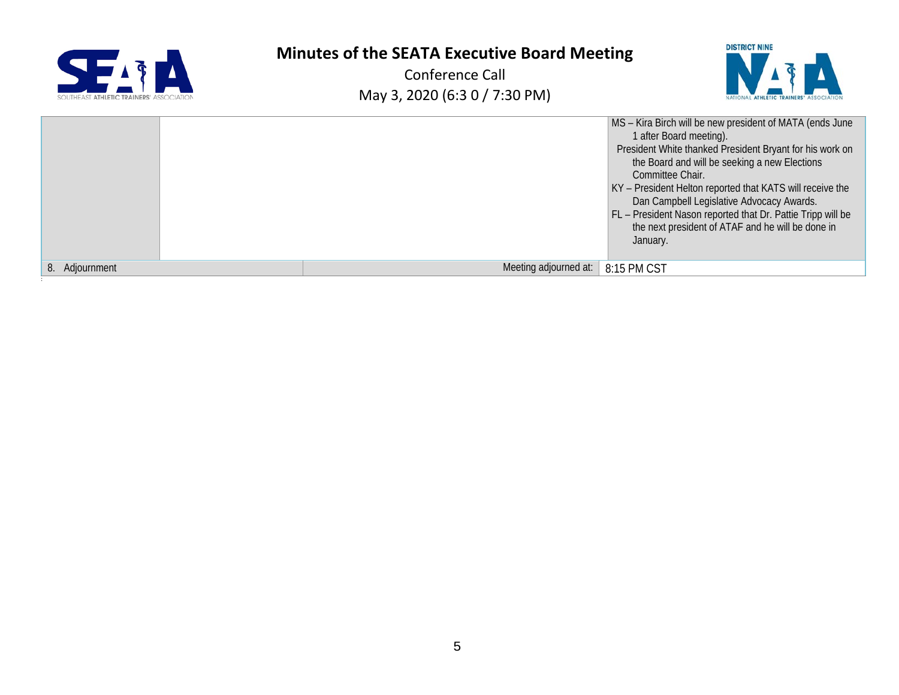| SOUTHEAST ATHLETIC TRAINERS' ASSOCIATION |
|------------------------------------------|

:

# **Minutes of the SEATA Executive Board Meeting**



|                   | MS - Kira Birch will be new president of MATA (ends June<br>1 after Board meeting).<br>President White thanked President Bryant for his work on<br>the Board and will be seeking a new Elections<br>Committee Chair.<br>KY - President Helton reported that KATS will receive the<br>Dan Campbell Legislative Advocacy Awards.<br>FL - President Nason reported that Dr. Pattie Tripp will be<br>the next president of ATAF and he will be done in<br>January. |  |
|-------------------|----------------------------------------------------------------------------------------------------------------------------------------------------------------------------------------------------------------------------------------------------------------------------------------------------------------------------------------------------------------------------------------------------------------------------------------------------------------|--|
| Adjournment<br>8. | Meeting adjourned at:<br>8:15 PM CST                                                                                                                                                                                                                                                                                                                                                                                                                           |  |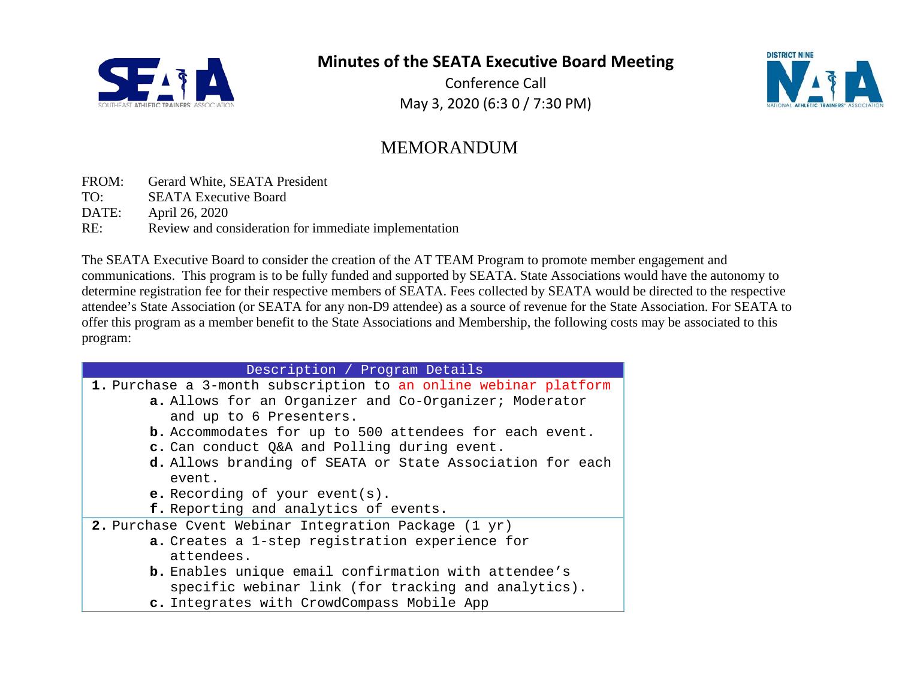

Conference Call May 3, 2020 (6:3 0 / 7:30 PM)



# MEMORANDUM

- FROM: Gerard White, SEATA President
- TO: SEATA Executive Board
- DATE: April 26, 2020
- RE: Review and consideration for immediate implementation

The SEATA Executive Board to consider the creation of the AT TEAM Program to promote member engagement and communications. This program is to be fully funded and supported by SEATA. State Associations would have the autonomy to determine registration fee for their respective members of SEATA. Fees collected by SEATA would be directed to the respective attendee's State Association (or SEATA for any non-D9 attendee) as a source of revenue for the State Association. For SEATA to offer this program as a member benefit to the State Associations and Membership, the following costs may be associated to this program:

| Description / Program Details                                    |  |  |
|------------------------------------------------------------------|--|--|
| 1. Purchase a 3-month subscription to an online webinar platform |  |  |
| a. Allows for an Organizer and Co-Organizer; Moderator           |  |  |
| and up to 6 Presenters.                                          |  |  |
| <b>b.</b> Accommodates for up to 500 attendees for each event.   |  |  |
| c. Can conduct Q&A and Polling during event.                     |  |  |
| d. Allows branding of SEATA or State Association for each        |  |  |
| event.                                                           |  |  |
| <b>e.</b> Recording of your event( $s$ ).                        |  |  |
| f. Reporting and analytics of events.                            |  |  |
| 2. Purchase Cvent Webinar Integration Package (1 yr)             |  |  |
| a. Creates a 1-step registration experience for                  |  |  |
| attendees.                                                       |  |  |
| <b>b.</b> Enables unique email confirmation with attendee's      |  |  |
| specific webinar link (for tracking and analytics).              |  |  |
| c. Integrates with CrowdCompass Mobile App                       |  |  |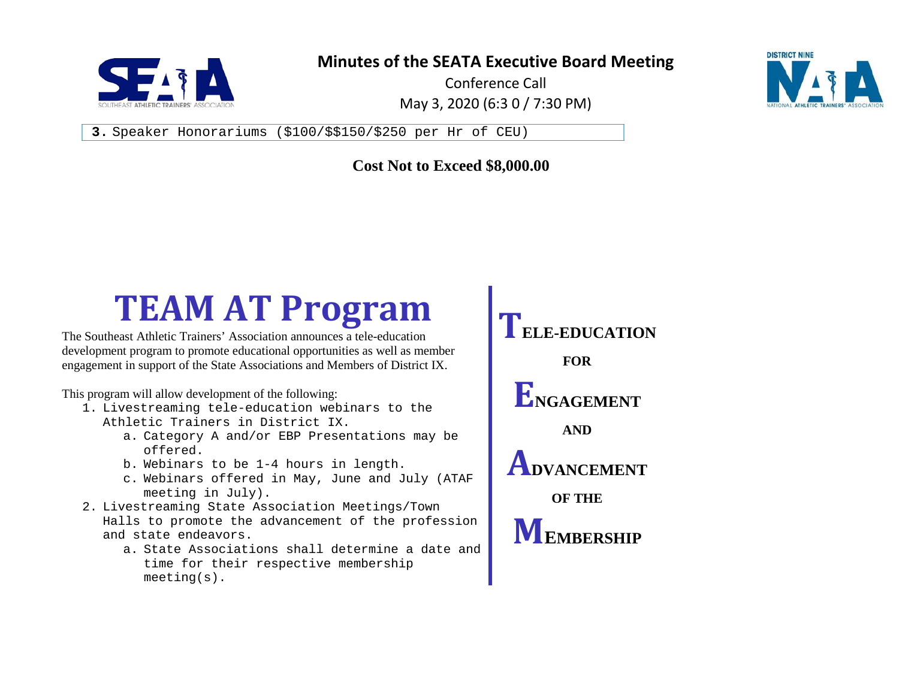

Conference Call May 3, 2020 (6:3 0 / 7:30 PM)



**3.** Speaker Honorariums (\$100/\$\$150/\$250 per Hr of CEU)

#### **Cost Not to Exceed \$8,000.00**

# TEAM AT Program<br> **TEAM AT Program** TELE-EDUCATION

The Southeast Athletic Trainers' Association announces a tele-education development program to promote educational opportunities as well as member engagement in support of the State Associations and Members of District IX.

This program will allow development of the following:

- 1. Livestreaming tele-education webinars to the Athletic Trainers in District IX.
	- a. Category A and/or EBP Presentations may be offered.
	- b. Webinars to be 1-4 hours in length.
	- c. Webinars offered in May, June and July (ATAF meeting in July).
- 2. Livestreaming State Association Meetings/Town Halls to promote the advancement of the profession and state endeavors.
	- a. State Associations shall determine a date and time for their respective membership meeting(s).